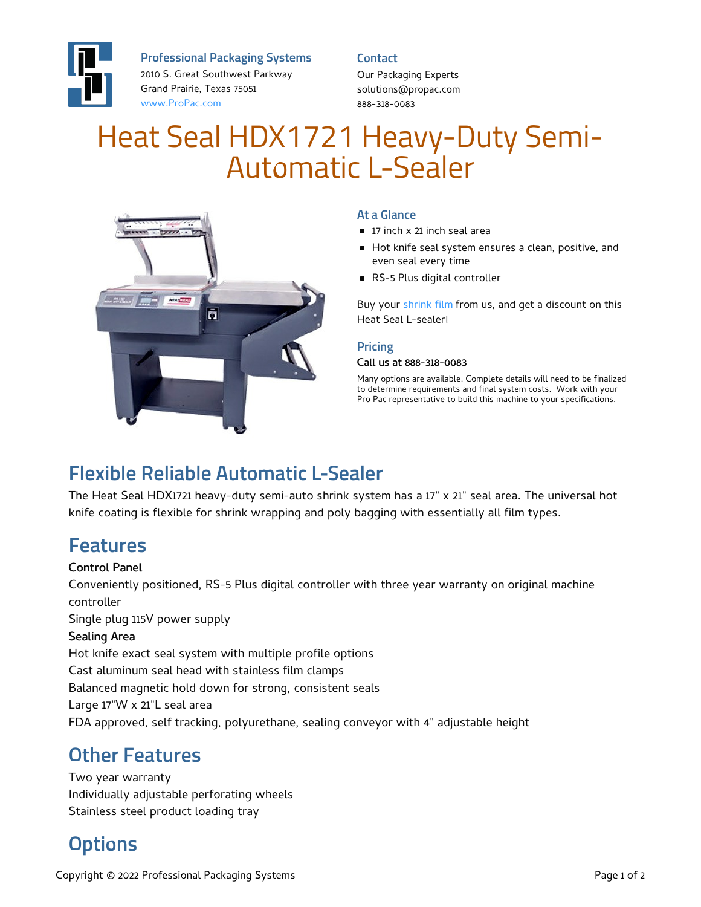

**Professional Packaging Systems**

2010 S. Great Southwest Parkway Grand Prairie, Texas 75051 [www.ProPac.com](https://www.propac.com/)

**Contact**

Our Packaging Experts solutions@propac.com 888-318-0083

# Heat Seal HDX1721 Heavy-Duty Semi-Automatic L-Sealer



### **At a Glance**

- 17 inch x 21 inch seal area
- Hot knife seal system ensures a clean, positive, and even seal every time
- RS-5 Plus digital controller

Buy your [shrink](file:///packaging-materials/shrink-wrap-film/) film from us, and get a discount on this Heat Seal L-sealer!

#### **Pricing**

#### Call us at 888-318-0083

Many options are available. Complete details will need to be finalized to determine requirements and final system costs. Work with your Pro Pac representative to build this machine to your specifications.

## **Flexible Reliable Automatic L-Sealer**

The Heat Seal HDX1721 heavy-duty semi-auto shrink system has a 17" x 21" seal area. The universal hot knife coating is flexible for shrink wrapping and poly bagging with essentially all film types.

### **Features**

#### Control Panel

Conveniently positioned, RS-5 Plus digital controller with three year warranty on original machine controller Single plug 115V power supply Sealing Area Hot knife exact seal system with multiple profile options Cast aluminum seal head with stainless film clamps Balanced magnetic hold down for strong, consistent seals Large 17"W x 21"L seal area FDA approved, self tracking, polyurethane, sealing conveyor with 4" adjustable height

### **Other Features**

Two year warranty Individually adjustable perforating wheels Stainless steel product loading tray

# **Options**